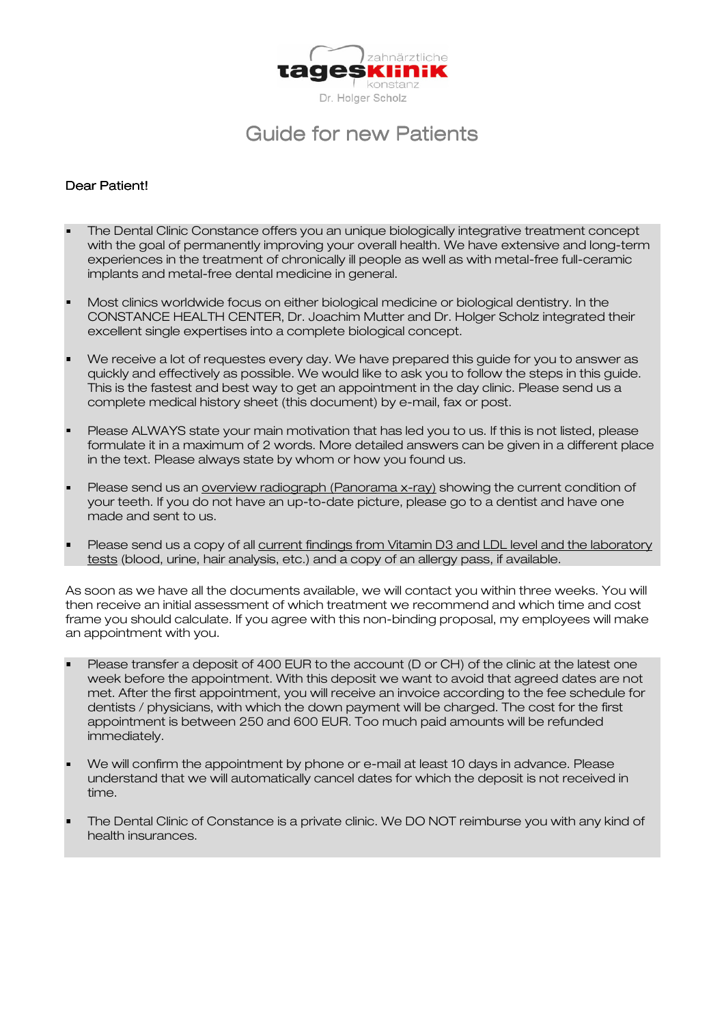

# Guide for new Patients

## Dear Patient!

- The Dental Clinic Constance offers you an unique biologically integrative treatment concept with the goal of permanently improving your overall health. We have extensive and long-term experiences in the treatment of chronically ill people as well as with metal-free full-ceramic implants and metal-free dental medicine in general.
- Most clinics worldwide focus on either biological medicine or biological dentistry. In the CONSTANCE HEALTH CENTER, Dr. Joachim Mutter and Dr. Holger Scholz integrated their excellent single expertises into a complete biological concept.
- We receive a lot of requestes every day. We have prepared this guide for you to answer as quickly and effectively as possible. We would like to ask you to follow the steps in this guide. This is the fastest and best way to get an appointment in the day clinic. Please send us a complete medical history sheet (this document) by e-mail, fax or post.
- Please ALWAYS state your main motivation that has led you to us. If this is not listed, please formulate it in a maximum of 2 words. More detailed answers can be given in a different place in the text. Please always state by whom or how you found us.
- Please send us an overview radiograph (Panorama x-ray) showing the current condition of your teeth. If you do not have an up-to-date picture, please go to a dentist and have one made and sent to us.
- Please send us a copy of all current findings from Vitamin D3 and LDL level and the laboratory tests (blood, urine, hair analysis, etc.) and a copy of an allergy pass, if available.

As soon as we have all the documents available, we will contact you within three weeks. You will then receive an initial assessment of which treatment we recommend and which time and cost frame you should calculate. If you agree with this non-binding proposal, my employees will make an appointment with you.

- Please transfer a deposit of 400 EUR to the account (D or CH) of the clinic at the latest one week before the appointment. With this deposit we want to avoid that agreed dates are not met. After the first appointment, you will receive an invoice according to the fee schedule for dentists / physicians, with which the down payment will be charged. The cost for the first appointment is between 250 and 600 EUR. Too much paid amounts will be refunded immediately.
- We will confirm the appointment by phone or e-mail at least 10 days in advance. Please understand that we will automatically cancel dates for which the deposit is not received in time.
- The Dental Clinic of Constance is a private clinic. We DO NOT reimburse you with any kind of health insurances.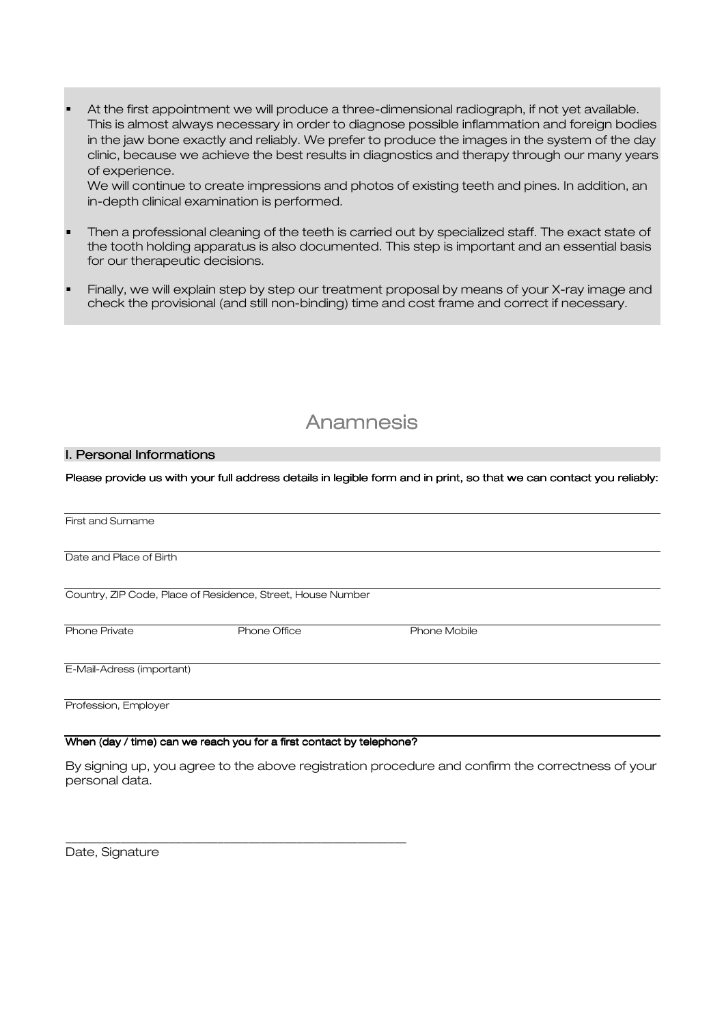At the first appointment we will produce a three-dimensional radiograph, if not yet available. This is almost always necessary in order to diagnose possible inflammation and foreign bodies in the jaw bone exactly and reliably. We prefer to produce the images in the system of the day clinic, because we achieve the best results in diagnostics and therapy through our many years of experience.

We will continue to create impressions and photos of existing teeth and pines. In addition, an in-depth clinical examination is performed.

- Then a professional cleaning of the teeth is carried out by specialized staff. The exact state of the tooth holding apparatus is also documented. This step is important and an essential basis for our therapeutic decisions.
- Finally, we will explain step by step our treatment proposal by means of your X-ray image and check the provisional (and still non-binding) time and cost frame and correct if necessary.

## Anamnesis

#### I. Personal Informations

Please provide us with your full address details in legible form and in print, so that we can contact you reliably:

| First and Surname         |                                                                      |              |  |
|---------------------------|----------------------------------------------------------------------|--------------|--|
|                           |                                                                      |              |  |
| Date and Place of Birth   |                                                                      |              |  |
|                           |                                                                      |              |  |
|                           | Country, ZIP Code, Place of Residence, Street, House Number          |              |  |
|                           |                                                                      |              |  |
| Phone Private             | <b>Phone Office</b>                                                  | Phone Mobile |  |
|                           |                                                                      |              |  |
| E-Mail-Adress (important) |                                                                      |              |  |
|                           |                                                                      |              |  |
| Profession, Employer      |                                                                      |              |  |
|                           |                                                                      |              |  |
|                           | When (day / time) can we reach you for a first contact by telephone? |              |  |

By signing up, you agree to the above registration procedure and confirm the correctness of your personal data.

Date, Signature

\_\_\_\_\_\_\_\_\_\_\_\_\_\_\_\_\_\_\_\_\_\_\_\_\_\_\_\_\_\_\_\_\_\_\_\_\_\_\_\_\_\_\_\_\_\_\_\_\_\_\_\_\_\_\_\_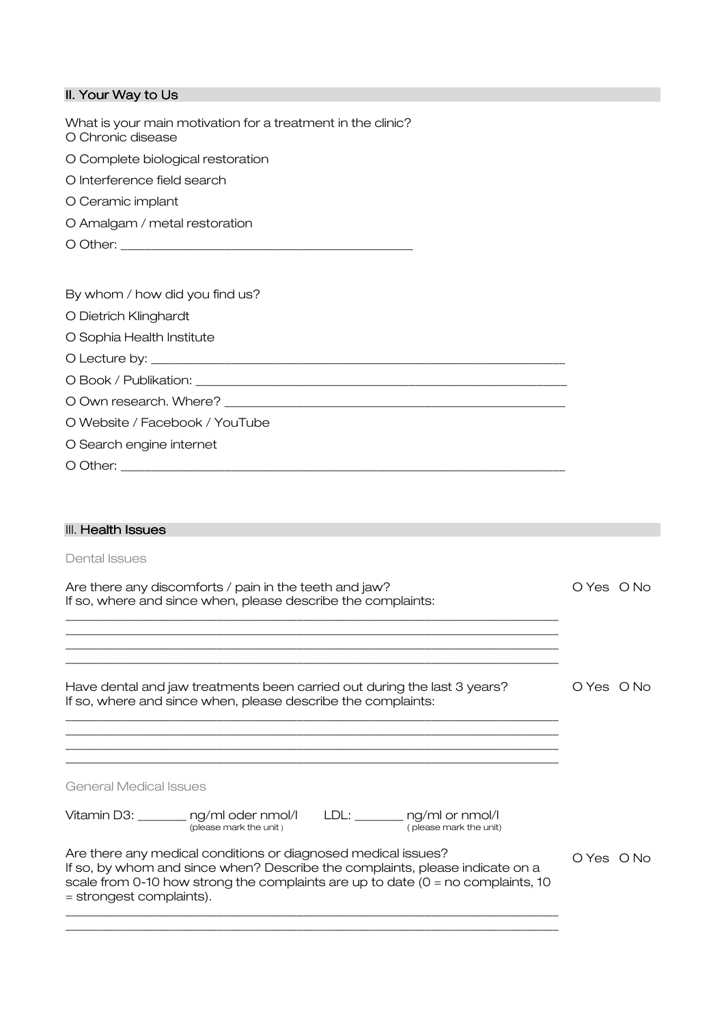| II. Your Way to Us                                                                                                                                                                                                                                             |            |
|----------------------------------------------------------------------------------------------------------------------------------------------------------------------------------------------------------------------------------------------------------------|------------|
| What is your main motivation for a treatment in the clinic?<br>O Chronic disease                                                                                                                                                                               |            |
| O Complete biological restoration                                                                                                                                                                                                                              |            |
| O Interference field search                                                                                                                                                                                                                                    |            |
| O Ceramic implant                                                                                                                                                                                                                                              |            |
| O Amalgam / metal restoration                                                                                                                                                                                                                                  |            |
|                                                                                                                                                                                                                                                                |            |
|                                                                                                                                                                                                                                                                |            |
| By whom / how did you find us?                                                                                                                                                                                                                                 |            |
| O Dietrich Klinghardt                                                                                                                                                                                                                                          |            |
| O Sophia Health Institute                                                                                                                                                                                                                                      |            |
|                                                                                                                                                                                                                                                                |            |
|                                                                                                                                                                                                                                                                |            |
|                                                                                                                                                                                                                                                                |            |
| O Website / Facebook / YouTube                                                                                                                                                                                                                                 |            |
| O Search engine internet                                                                                                                                                                                                                                       |            |
|                                                                                                                                                                                                                                                                |            |
|                                                                                                                                                                                                                                                                |            |
| III. Health Issues                                                                                                                                                                                                                                             |            |
| Dental Issues                                                                                                                                                                                                                                                  |            |
| Are there any discomforts / pain in the teeth and jaw?                                                                                                                                                                                                         | O Yes O No |
| If so, where and since when, please describe the complaints:                                                                                                                                                                                                   |            |
|                                                                                                                                                                                                                                                                |            |
|                                                                                                                                                                                                                                                                |            |
| Have dental and jaw treatments been carried out during the last 3 years?                                                                                                                                                                                       | O Yes O No |
| If so, where and since when, please describe the complaints:                                                                                                                                                                                                   |            |
|                                                                                                                                                                                                                                                                |            |
|                                                                                                                                                                                                                                                                |            |
| <b>General Medical Issues</b>                                                                                                                                                                                                                                  |            |
|                                                                                                                                                                                                                                                                |            |
| Vitamin D3: _______ ng/ml oder nmol/l<br>LDL: $\_\_\_\_\_$ ng/ml or nmol/l<br>(please mark the unit)<br>(please mark the unit)                                                                                                                                 |            |
| Are there any medical conditions or diagnosed medical issues?<br>If so, by whom and since when? Describe the complaints, please indicate on a<br>scale from 0-10 how strong the complaints are up to date $(0 = no$ complaints, 10<br>= strongest complaints). | O Yes O No |
|                                                                                                                                                                                                                                                                |            |

\_\_\_\_\_\_\_\_\_\_\_\_\_\_\_\_\_\_\_\_\_\_\_\_\_\_\_\_\_\_\_\_\_\_\_\_\_\_\_\_\_\_\_\_\_\_\_\_\_\_\_\_\_\_\_\_\_\_\_\_\_\_\_\_\_\_\_\_\_\_\_\_\_\_\_\_\_\_\_\_\_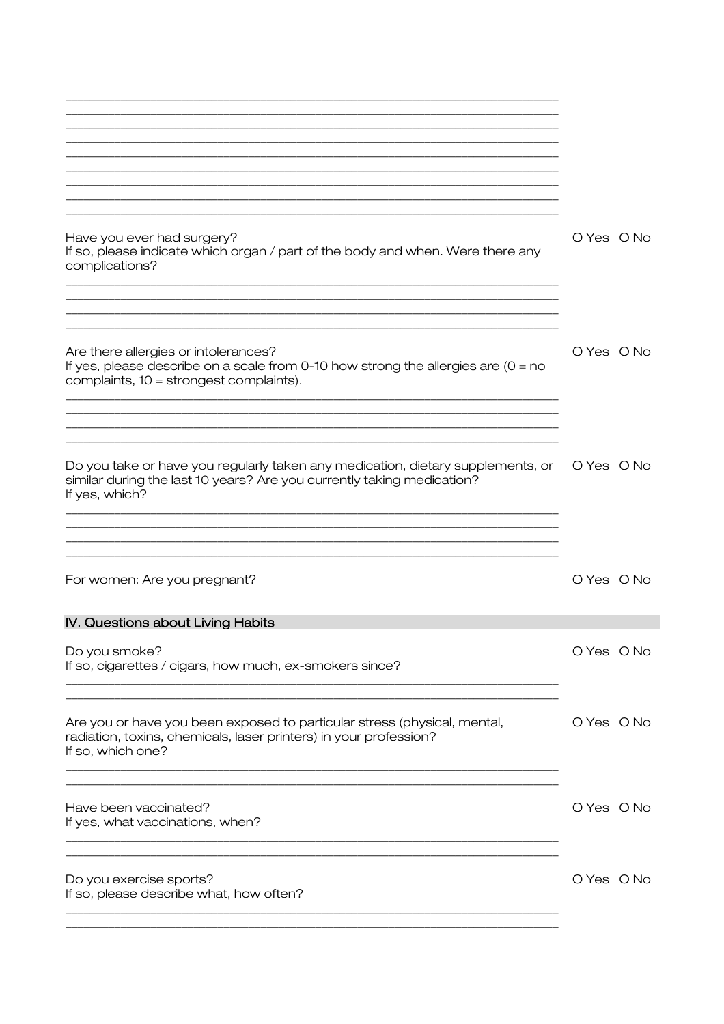| Have you ever had surgery?<br>If so, please indicate which organ / part of the body and when. Were there any<br>complications?                                              | O Yes O No |
|-----------------------------------------------------------------------------------------------------------------------------------------------------------------------------|------------|
|                                                                                                                                                                             |            |
| Are there allergies or intolerances?<br>If yes, please describe on a scale from 0-10 how strong the allergies are (0 = no<br>complaints, 10 = strongest complaints).        | O Yes O No |
|                                                                                                                                                                             |            |
| Do you take or have you regularly taken any medication, dietary supplements, or<br>similar during the last 10 years? Are you currently taking medication?<br>If yes, which? | O Yes O No |
|                                                                                                                                                                             |            |
| For women: Are you pregnant?                                                                                                                                                | O Yes O No |
| IV. Questions about Living Habits                                                                                                                                           |            |
| Do you smoke?<br>If so, cigarettes / cigars, how much, ex-smokers since?                                                                                                    | O Yes O No |
| Are you or have you been exposed to particular stress (physical, mental,<br>radiation, toxins, chemicals, laser printers) in your profession?<br>If so, which one?          | O Yes O No |
| Have been vaccinated?<br>If yes, what vaccinations, when?                                                                                                                   | O Yes O No |
| Do you exercise sports?<br>If so, please describe what, how often?                                                                                                          | O Yes O No |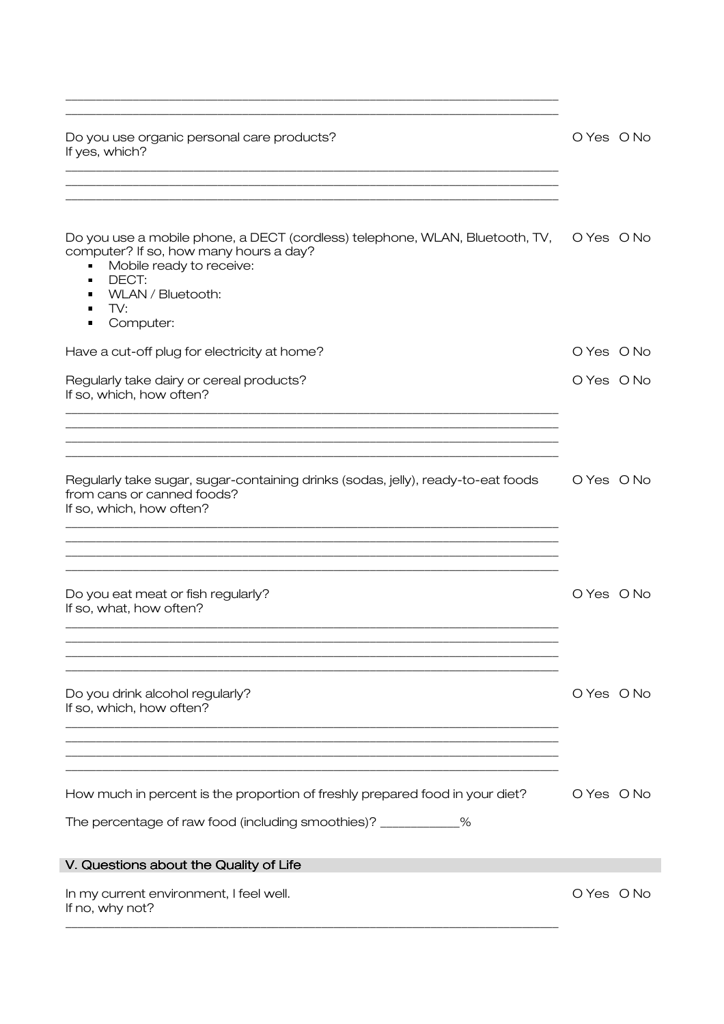| Do you use organic personal care products?<br>If yes, which?                                                                                                                                                                          | O Yes O No |
|---------------------------------------------------------------------------------------------------------------------------------------------------------------------------------------------------------------------------------------|------------|
| Do you use a mobile phone, a DECT (cordless) telephone, WLAN, Bluetooth, TV,<br>computer? If so, how many hours a day?<br>Mobile ready to receive:<br>П<br>DECT:<br>$\blacksquare$<br>WLAN / Bluetooth:<br>п<br>TV:<br>п<br>Computer: | O Yes O No |
| Have a cut-off plug for electricity at home?                                                                                                                                                                                          | O Yes O No |
| Regularly take dairy or cereal products?<br>If so, which, how often?                                                                                                                                                                  | O Yes O No |
| Regularly take sugar, sugar-containing drinks (sodas, jelly), ready-to-eat foods<br>from cans or canned foods?<br>If so, which, how often?                                                                                            | O Yes O No |
| Do you eat meat or fish regularly?<br>If so, what, how often?                                                                                                                                                                         | O Yes O No |
| Do you drink alcohol regularly?<br>If so, which, how often?                                                                                                                                                                           | O Yes O No |
| How much in percent is the proportion of freshly prepared food in your diet?<br>The percentage of raw food (including smoothies)? ___________%<br>V. Questions about the Quality of Life                                              | O Yes O No |
| In my current environment, I feel well.<br>If no, why not?                                                                                                                                                                            | O Yes O No |